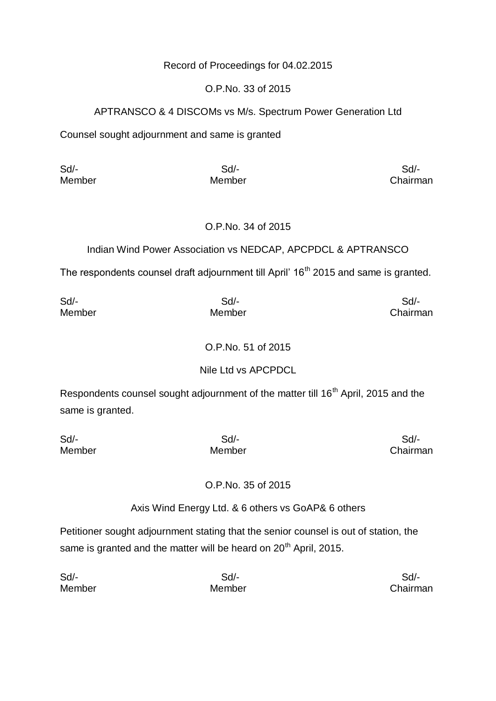# Record of Proceedings for 04.02.2015

## O.P.No. 33 of 2015

# APTRANSCO & 4 DISCOMs vs M/s. Spectrum Power Generation Ltd

Counsel sought adjournment and same is granted

Sd/- Sd/- Sd/-

Member Member Chairman

### O.P.No. 34 of 2015

# Indian Wind Power Association vs NEDCAP, APCPDCL & APTRANSCO

The respondents counsel draft adjournment till April' 16<sup>th</sup> 2015 and same is granted.

| Sd/-   | $Sd$ - | Sd/-     |
|--------|--------|----------|
| Member | Member | Chairman |

# O.P.No. 51 of 2015

# Nile Ltd vs APCPDCL

Respondents counsel sought adjournment of the matter till 16<sup>th</sup> April, 2015 and the same is granted.

| Sd/-   | Sd/-   | Sd/-     |
|--------|--------|----------|
| Member | Member | Chairman |

# O.P.No. 35 of 2015

Axis Wind Energy Ltd. & 6 others vs GoAP& 6 others

Petitioner sought adjournment stating that the senior counsel is out of station, the same is granted and the matter will be heard on 20<sup>th</sup> April, 2015.

| Sd/-   | Sd/-   | Sd       |
|--------|--------|----------|
| Member | Member | Chairman |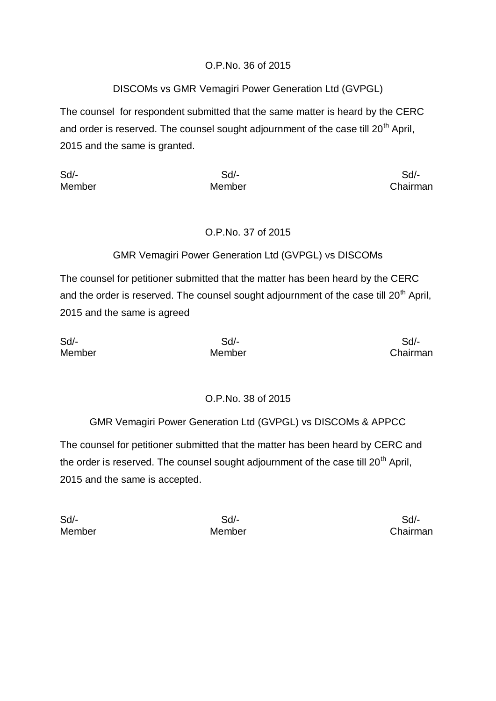# O.P.No. 36 of 2015

# DISCOMs vs GMR Vemagiri Power Generation Ltd (GVPGL)

The counsel for respondent submitted that the same matter is heard by the CERC and order is reserved. The counsel sought adjournment of the case till  $20<sup>th</sup>$  April, 2015 and the same is granted.

Sd/- Sd/- Sd/-

Member Member Chairman

# O.P.No. 37 of 2015

# GMR Vemagiri Power Generation Ltd (GVPGL) vs DISCOMs

The counsel for petitioner submitted that the matter has been heard by the CERC and the order is reserved. The counsel sought adjournment of the case till  $20<sup>th</sup>$  April, 2015 and the same is agreed

Sd/- Sd/- Sd/-

Member Member Chairman

# O.P.No. 38 of 2015

GMR Vemagiri Power Generation Ltd (GVPGL) vs DISCOMs & APPCC

The counsel for petitioner submitted that the matter has been heard by CERC and the order is reserved. The counsel sought adjournment of the case till  $20<sup>th</sup>$  April, 2015 and the same is accepted.

Sd/- Sd/- Sd/-

Member Member Chairman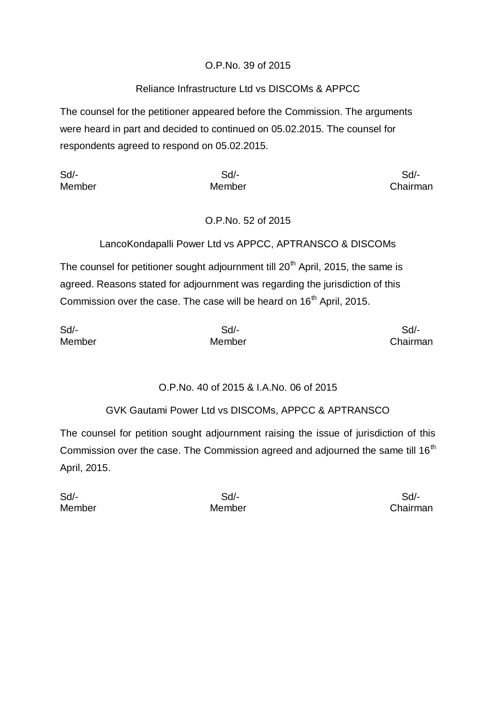# O.P.No. 39 of 2015

# Reliance Infrastructure Ltd vs DISCOMs & APPCC

The counsel for the petitioner appeared before the Commission. The arguments were heard in part and decided to continued on 05.02.2015. The counsel for respondents agreed to respond on 05.02.2015.

Sd/- Sd/- Sd/-

Member Member Chairman

# O.P.No. 52 of 2015

# LancoKondapalli Power Ltd vs APPCC, APTRANSCO & DISCOMs

The counsel for petitioner sought adjournment till  $20<sup>th</sup>$  April, 2015, the same is agreed. Reasons stated for adjournment was regarding the jurisdiction of this Commission over the case. The case will be heard on 16<sup>th</sup> April, 2015.

| Sd/-   | Sd/-   | Sd/-     |
|--------|--------|----------|
| Member | Member | Chairman |

# O.P.No. 40 of 2015 & I.A.No. 06 of 2015

# GVK Gautami Power Ltd vs DISCOMs, APPCC & APTRANSCO

The counsel for petition sought adjournment raising the issue of jurisdiction of this Commission over the case. The Commission agreed and adjourned the same till  $16<sup>th</sup>$ April, 2015.

Sd/- Sd/- Sd/-

Member Member Chairman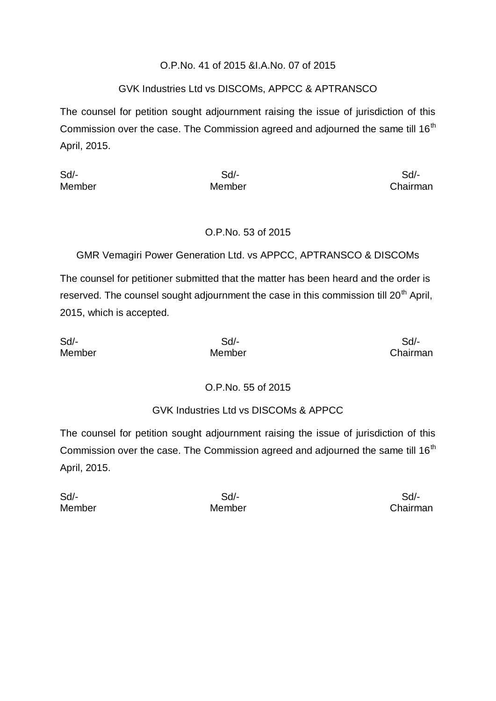#### O.P.No. 41 of 2015 &I.A.No. 07 of 2015

## GVK Industries Ltd vs DISCOMs, APPCC & APTRANSCO

The counsel for petition sought adjournment raising the issue of jurisdiction of this Commission over the case. The Commission agreed and adjourned the same till 16<sup>th</sup> April, 2015.

Sd/- Sd/- Sd/-

Member Member Chairman

# O.P.No. 53 of 2015

GMR Vemagiri Power Generation Ltd. vs APPCC, APTRANSCO & DISCOMs

The counsel for petitioner submitted that the matter has been heard and the order is reserved. The counsel sought adjournment the case in this commission till 20<sup>th</sup> April, 2015, which is accepted.

Sd/- Sd/- Sd/-

Member Member Chairman

# O.P.No. 55 of 2015

GVK Industries Ltd vs DISCOMs & APPCC

The counsel for petition sought adjournment raising the issue of jurisdiction of this Commission over the case. The Commission agreed and adjourned the same till  $16<sup>th</sup>$ April, 2015.

Sd/- Sd/- Sd/-

Member Member Chairman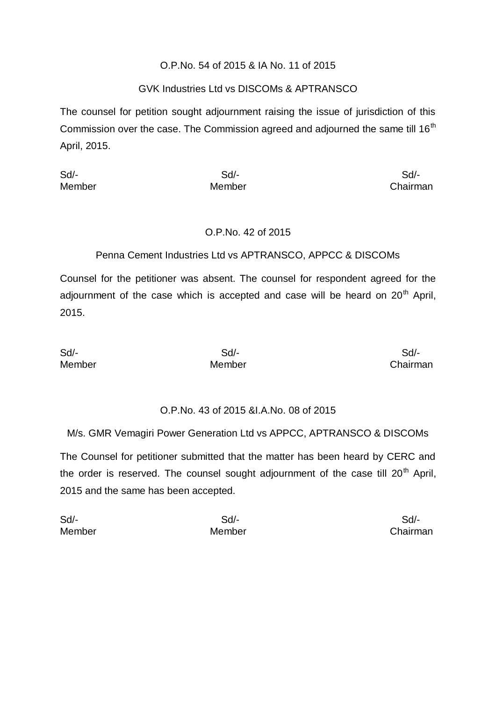### O.P.No. 54 of 2015 & IA No. 11 of 2015

### GVK Industries Ltd vs DISCOMs & APTRANSCO

The counsel for petition sought adjournment raising the issue of jurisdiction of this Commission over the case. The Commission agreed and adjourned the same till  $16<sup>th</sup>$ April, 2015.

Sd/- Sd/- Sd/-

Member Member **Member** Chairman

# O.P.No. 42 of 2015

# Penna Cement Industries Ltd vs APTRANSCO, APPCC & DISCOMs

Counsel for the petitioner was absent. The counsel for respondent agreed for the adjournment of the case which is accepted and case will be heard on  $20<sup>th</sup>$  April, 2015.

Sd/- Sd/- Sd/-

Member Member Chairman

# O.P.No. 43 of 2015 &I.A.No. 08 of 2015

M/s. GMR Vemagiri Power Generation Ltd vs APPCC, APTRANSCO & DISCOMs

The Counsel for petitioner submitted that the matter has been heard by CERC and the order is reserved. The counsel sought adjournment of the case till  $20<sup>th</sup>$  April, 2015 and the same has been accepted.

Sd/- Sd/- Sd/- Member Member Chairman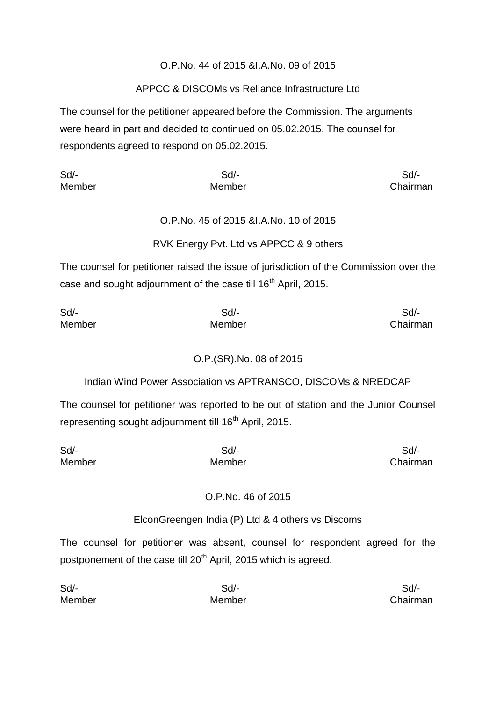## O.P.No. 44 of 2015 &I.A.No. 09 of 2015

# APPCC & DISCOMs vs Reliance Infrastructure Ltd

The counsel for the petitioner appeared before the Commission. The arguments were heard in part and decided to continued on 05.02.2015. The counsel for respondents agreed to respond on 05.02.2015.

Sd/- Sd/- Sd/- Member Member Chairman

# O.P.No. 45 of 2015 &I.A.No. 10 of 2015

# RVK Energy Pvt. Ltd vs APPCC & 9 others

The counsel for petitioner raised the issue of jurisdiction of the Commission over the case and sought adjournment of the case till 16<sup>th</sup> April, 2015.

| Sd/-   | Sd/-   | Sd/-     |
|--------|--------|----------|
| Member | Member | Chairman |

# O.P.(SR).No. 08 of 2015

Indian Wind Power Association vs APTRANSCO, DISCOMs & NREDCAP

The counsel for petitioner was reported to be out of station and the Junior Counsel representing sought adjournment till 16<sup>th</sup> April, 2015.

Sd/- Sd/- Sd/- Member Member Chairman

#### O.P.No. 46 of 2015

#### ElconGreengen India (P) Ltd & 4 others vs Discoms

The counsel for petitioner was absent, counsel for respondent agreed for the postponement of the case till 20<sup>th</sup> April, 2015 which is agreed.

| Sd/-   | Sd/-   | Sd/-     |
|--------|--------|----------|
| Member | Member | Chairman |